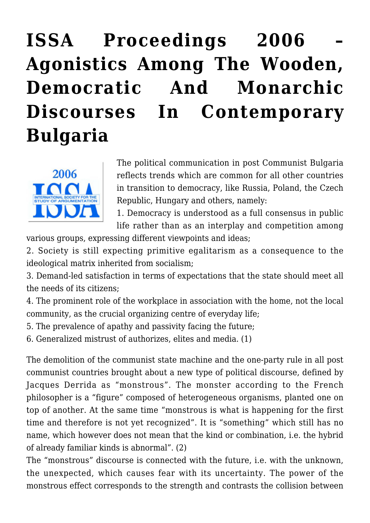## **[ISSA Proceedings 2006 –](https://rozenbergquarterly.com/issa-proceedings-2006-agonistics-among-the-wooden-democratic-and-monarchic-discourses-in-contemporary-bulgaria-2/) [Agonistics Among The Wooden,](https://rozenbergquarterly.com/issa-proceedings-2006-agonistics-among-the-wooden-democratic-and-monarchic-discourses-in-contemporary-bulgaria-2/) [Democratic And Monarchic](https://rozenbergquarterly.com/issa-proceedings-2006-agonistics-among-the-wooden-democratic-and-monarchic-discourses-in-contemporary-bulgaria-2/) [Discourses In Contemporary](https://rozenbergquarterly.com/issa-proceedings-2006-agonistics-among-the-wooden-democratic-and-monarchic-discourses-in-contemporary-bulgaria-2/) [Bulgaria](https://rozenbergquarterly.com/issa-proceedings-2006-agonistics-among-the-wooden-democratic-and-monarchic-discourses-in-contemporary-bulgaria-2/)**



The political communication in post Communist Bulgaria reflects trends which are common for all other countries in transition to democracy, like Russia, Poland, the Czech Republic, Hungary and others, namely:

1. Democracy is understood as a full consensus in public life rather than as an interplay and competition among

various groups, expressing different viewpoints and ideas;

2. Society is still expecting primitive egalitarism as a consequence to the ideological matrix inherited from socialism;

3. Demand-led satisfaction in terms of expectations that the state should meet all the needs of its citizens;

4. The prominent role of the workplace in association with the home, not the local community, as the crucial organizing centre of everyday life;

5. The prevalence of apathy and passivity facing the future;

6. Generalized mistrust of authorizes, elites and media. (1)

The demolition of the communist state machine and the one-party rule in all post communist countries brought about a new type of political discourse, defined by Jacques Derrida as "monstrous". The monster according to the French philosopher is a "figure" composed of heterogeneous organisms, planted one on top of another. At the same time "monstrous is what is happening for the first time and therefore is not yet recognized". It is "something" which still has no name, which however does not mean that the kind or combination, i.e. the hybrid of already familiar kinds is abnormal". (2)

The "monstrous" discourse is connected with the future, i.e. with the unknown, the unexpected, which causes fear with its uncertainty. The power of the monstrous effect corresponds to the strength and contrasts the collision between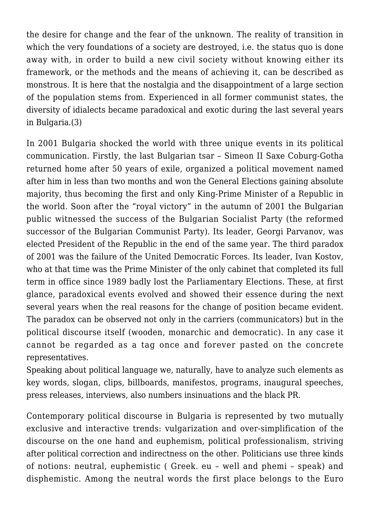the desire for change and the fear of the unknown. The reality of transition in which the very foundations of a society are destroyed, *i.e.* the status quo is done away with, in order to build a new civil society without knowing either its framework, or the methods and the means of achieving it, can be described as monstrous. It is here that the nostalgia and the disappointment of a large section of the population stems from. Experienced in all former communist states, the diversity of idialects became paradoxical and exotic during the last several years in Bulgaria.(3)

In 2001 Bulgaria shocked the world with three unique events in its political communication. Firstly, the last Bulgarian tsar – Simeon II Saxe Coburg-Gotha returned home after 50 years of exile, organized a political movement named after him in less than two months and won the General Elections gaining absolute majority, thus becoming the first and only King-Prime Minister of a Republic in the world. Soon after the "royal victory" in the autumn of 2001 the Bulgarian public witnessed the success of the Bulgarian Socialist Party (the reformed successor of the Bulgarian Communist Party). Its leader, Georgi Parvanov, was elected President of the Republic in the end of the same year. The third paradox of 2001 was the failure of the United Democratic Forces. Its leader, Ivan Kostov, who at that time was the Prime Minister of the only cabinet that completed its full term in office since 1989 badly lost the Parliamentary Elections. These, at first glance, paradoxical events evolved and showed their essence during the next several years when the real reasons for the change of position became evident. The paradox can be observed not only in the carriers (communicators) but in the political discourse itself (wooden, monarchic and democratic). In any case it cannot be regarded as a tag once and forever pasted on the concrete representatives.

Speaking about political language we, naturally, have to analyze such elements as key words, slogan, clips, billboards, manifestos, programs, inaugural speeches, press releases, interviews, also numbers insinuations and the black PR.

Contemporary political discourse in Bulgaria is represented by two mutually exclusive and interactive trends: vulgarization and over-simplification of the discourse on the one hand and euphemism, political professionalism, striving after political correction and indirectness on the other. Politicians use three kinds of notions: neutral, euphemistic ( Greek. eu – well and phemi – speak) and disphemistic. Among the neutral words the first place belongs to the Euro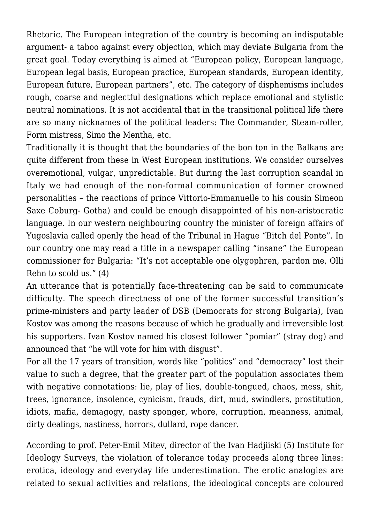Rhetoric. The European integration of the country is becoming an indisputable argument- a taboo against every objection, which may deviate Bulgaria from the great goal. Today everything is aimed at "European policy, European language, European legal basis, European practice, European standards, European identity, European future, European partners", etc. The category of disphemisms includes rough, coarse and neglectful designations which replace emotional and stylistic neutral nominations. It is not accidental that in the transitional political life there are so many nicknames of the political leaders: The Commander, Steam-roller, Form mistress, Simo the Mentha, etc.

Traditionally it is thought that the boundaries of the bon ton in the Balkans are quite different from these in West European institutions. We consider ourselves overemotional, vulgar, unpredictable. But during the last corruption scandal in Italy we had enough of the non-formal communication of former crowned personalities – the reactions of prince Vittorio-Emmanuelle to his cousin Simeon Saxe Coburg- Gotha) and could be enough disappointed of his non-aristocratic language. In our western neighbouring country the minister of foreign affairs of Yugoslavia called openly the head of the Tribunal in Hague "Bitch del Ponte". In our country one may read a title in a newspaper calling "insane" the European commissioner for Bulgaria: "It's not acceptable one olygophren, pardon me, Olli Rehn to scold us." (4)

An utterance that is potentially face-threatening can be said to communicate difficulty. The speech directness of one of the former successful transition's prime-ministers and party leader of DSB (Democrats for strong Bulgaria), Ivan Kostov was among the reasons because of which he gradually and irreversible lost his supporters. Ivan Kostov named his closest follower "pomiar" (stray dog) and announced that "he will vote for him with disgust".

For all the 17 years of transition, words like "politics" and "democracy" lost their value to such a degree, that the greater part of the population associates them with negative connotations: lie, play of lies, double-tongued, chaos, mess, shit, trees, ignorance, insolence, cynicism, frauds, dirt, mud, swindlers, prostitution, idiots, mafia, demagogy, nasty sponger, whore, corruption, meanness, animal, dirty dealings, nastiness, horrors, dullard, rope dancer.

According to prof. Peter-Emil Mitev, director of the Ivan Hadjiiski (5) Institute for Ideology Surveys, the violation of tolerance today proceeds along three lines: erotica, ideology and everyday life underestimation. The erotic analogies are related to sexual activities and relations, the ideological concepts are coloured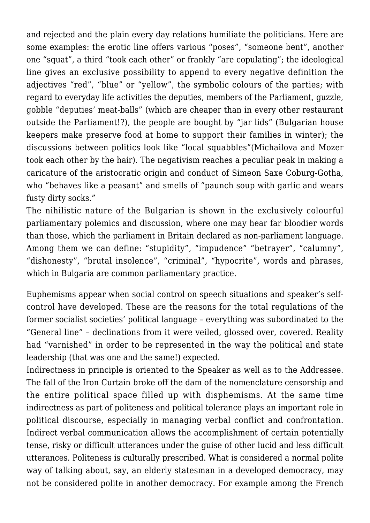and rejected and the plain every day relations humiliate the politicians. Here are some examples: the erotic line offers various "poses", "someone bent", another one "squat", a third "took each other" or frankly "are copulating"; the ideological line gives an exclusive possibility to append to every negative definition the adjectives "red", "blue" or "yellow", the symbolic colours of the parties; with regard to everyday life activities the deputies, members of the Parliament, guzzle, gobble "deputies' meat-balls" (which are cheaper than in every other restaurant outside the Parliament!?), the people are bought by "jar lids" (Bulgarian house keepers make preserve food at home to support their families in winter); the discussions between politics look like "local squabbles"(Michailova and Mozer took each other by the hair). The negativism reaches a peculiar peak in making a caricature of the aristocratic origin and conduct of Simeon Saxe Coburg-Gotha, who "behaves like a peasant" and smells of "paunch soup with garlic and wears fusty dirty socks."

The nihilistic nature of the Bulgarian is shown in the exclusively colourful parliamentary polemics and discussion, where one may hear far bloodier words than those, which the parliament in Britain declared as non-parliament language. Among them we can define: "stupidity", "impudence" "betrayer", "calumny", "dishonesty", "brutal insolence", "criminal", "hypocrite", words and phrases, which in Bulgaria are common parliamentary practice.

Euphemisms appear when social control on speech situations and speaker's selfcontrol have developed. These are the reasons for the total regulations of the former socialist societies' political language – everything was subordinated to the "General line" – declinations from it were veiled, glossed over, covered. Reality had "varnished" in order to be represented in the way the political and state leadership (that was one and the same!) expected.

Indirectness in principle is oriented to the Speaker as well as to the Addressee. The fall of the Iron Curtain broke off the dam of the nomenclature censorship and the entire political space filled up with disphemisms. At the same time indirectness as part of politeness and political tolerance plays an important role in political discourse, especially in managing verbal conflict and confrontation. Indirect verbal communication allows the accomplishment of certain potentially tense, risky or difficult utterances under the guise of other lucid and less difficult utterances. Politeness is culturally prescribed. What is considered a normal polite way of talking about, say, an elderly statesman in a developed democracy, may not be considered polite in another democracy. For example among the French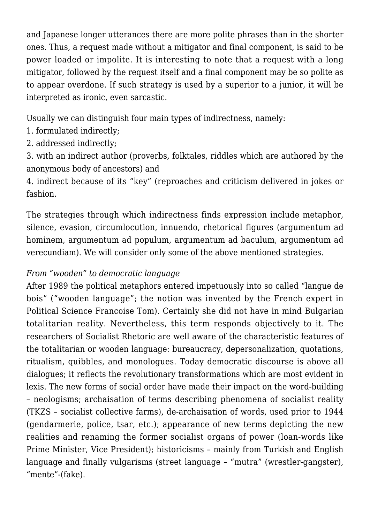and Japanese longer utterances there are more polite phrases than in the shorter ones. Thus, a request made without a mitigator and final component, is said to be power loaded or impolite. It is interesting to note that a request with a long mitigator, followed by the request itself and a final component may be so polite as to appear overdone. If such strategy is used by a superior to a junior, it will be interpreted as ironic, even sarcastic.

Usually we can distinguish four main types of indirectness, namely:

- 1. formulated indirectly;
- 2. addressed indirectly;
- 3. with an indirect author (proverbs, folktales, riddles which are authored by the anonymous body of ancestors) and

4. indirect because of its "key" (reproaches and criticism delivered in jokes or fashion.

The strategies through which indirectness finds expression include metaphor, silence, evasion, circumlocution, innuendo, rhetorical figures (argumentum ad hominem, argumentum ad populum, argumentum ad baculum, argumentum ad verecundiam). We will consider only some of the above mentioned strategies.

## *From "wooden" to democratic language*

After 1989 the political metaphors entered impetuously into so called "langue de bois" ("wooden language"; the notion was invented by the French expert in Political Science Francoise Tom). Certainly she did not have in mind Bulgarian totalitarian reality. Nevertheless, this term responds objectively to it. The researchers of Socialist Rhetoric are well aware of the characteristic features of the totalitarian or wooden language: bureaucracy, depersonalization, quotations, ritualism, quibbles, and monologues. Today democratic discourse is above all dialogues; it reflects the revolutionary transformations which are most evident in lexis. The new forms of social order have made their impact on the word-building – neologisms; archaisation of terms describing phenomena of socialist reality (TKZS – socialist collective farms), de-archaisation of words, used prior to 1944 (gendarmerie, police, tsar, etc.); appearance of new terms depicting the new realities and renaming the former socialist organs of power (loan-words like Prime Minister, Vice President); historicisms – mainly from Turkish and English language and finally vulgarisms (street language – "mutra" (wrestler-gangster), "mente"-(fake).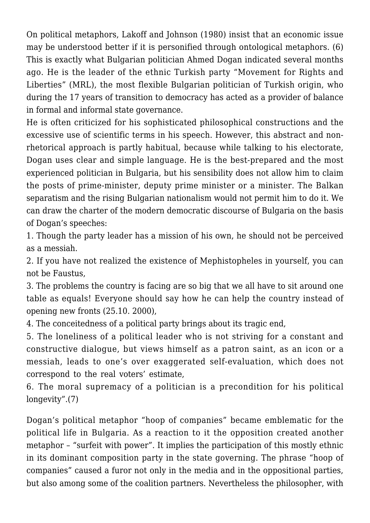On political metaphors, Lakoff and Johnson (1980) insist that an economic issue may be understood better if it is personified through ontological metaphors. (6) This is exactly what Bulgarian politician Ahmed Dogan indicated several months ago. He is the leader of the ethnic Turkish party "Movement for Rights and Liberties" (MRL), the most flexible Bulgarian politician of Turkish origin, who during the 17 years of transition to democracy has acted as a provider of balance in formal and informal state governance.

He is often criticized for his sophisticated philosophical constructions and the excessive use of scientific terms in his speech. However, this abstract and nonrhetorical approach is partly habitual, because while talking to his electorate, Dogan uses clear and simple language. He is the best-prepared and the most experienced politician in Bulgaria, but his sensibility does not allow him to claim the posts of prime-minister, deputy prime minister or a minister. The Balkan separatism and the rising Bulgarian nationalism would not permit him to do it. We can draw the charter of the modern democratic discourse of Bulgaria on the basis of Dogan's speeches:

1. Though the party leader has a mission of his own, he should not be perceived as a messiah.

2. If you have not realized the existence of Mephistopheles in yourself, you can not be Faustus,

3. The problems the country is facing are so big that we all have to sit around one table as equals! Everyone should say how he can help the country instead of opening new fronts (25.10. 2000),

4. The conceitedness of a political party brings about its tragic end,

5. The loneliness of a political leader who is not striving for a constant and constructive dialogue, but views himself as a patron saint, as an icon or a messiah, leads to one's over exaggerated self-evaluation, which does not correspond to the real voters' estimate,

6. The moral supremacy of a politician is a precondition for his political longevity".(7)

Dogan's political metaphor "hoop of companies" became emblematic for the political life in Bulgaria. As a reaction to it the opposition created another metaphor – "surfeit with power". It implies the participation of this mostly ethnic in its dominant composition party in the state governing. The phrase "hoop of companies" caused a furor not only in the media and in the oppositional parties, but also among some of the coalition partners. Nevertheless the philosopher, with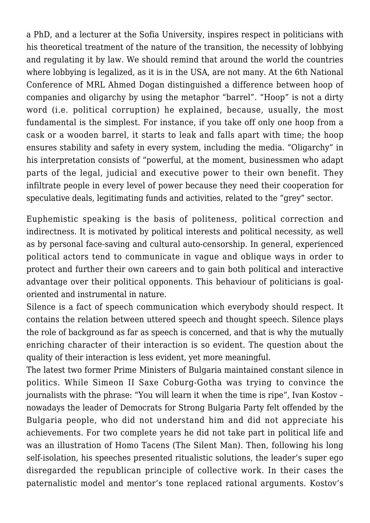a PhD, and a lecturer at the Sofia University, inspires respect in politicians with his theoretical treatment of the nature of the transition, the necessity of lobbying and regulating it by law. We should remind that around the world the countries where lobbying is legalized, as it is in the USA, are not many. At the 6th National Conference of MRL Ahmed Dogan distinguished a difference between hoop of companies and oligarchy by using the metaphor "barrel". "Hoop" is not a dirty word (i.e. political corruption) he explained, because, usually, the most fundamental is the simplest. For instance, if you take off only one hoop from a cask or a wooden barrel, it starts to leak and falls apart with time; the hoop ensures stability and safety in every system, including the media. "Oligarchy" in his interpretation consists of "powerful, at the moment, businessmen who adapt parts of the legal, judicial and executive power to their own benefit. They infiltrate people in every level of power because they need their cooperation for speculative deals, legitimating funds and activities, related to the "grey" sector.

Euphemistic speaking is the basis of politeness, political correction and indirectness. It is motivated by political interests and political necessity, as well as by personal face-saving and cultural auto-censorship. In general, experienced political actors tend to communicate in vague and oblique ways in order to protect and further their own careers and to gain both political and interactive advantage over their political opponents. This behaviour of politicians is goaloriented and instrumental in nature.

Silence is a fact of speech communication which everybody should respect. It contains the relation between uttered speech and thought speech. Silence plays the role of background as far as speech is concerned, and that is why the mutually enriching character of their interaction is so evident. The question about the quality of their interaction is less evident, yet more meaningful.

The latest two former Prime Ministers of Bulgaria maintained constant silence in politics. While Simeon II Saxe Coburg-Gotha was trying to convince the journalists with the phrase: "You will learn it when the time is ripe", Ivan Kostov – nowadays the leader of Democrats for Strong Bulgaria Party felt offended by the Bulgaria people, who did not understand him and did not appreciate his achievements. For two complete years he did not take part in political life and was an illustration of Homo Tacens (The Silent Man). Then, following his long self-isolation, his speeches presented ritualistic solutions, the leader's super ego disregarded the republican principle of collective work. In their cases the paternalistic model and mentor's tone replaced rational arguments. Kostov's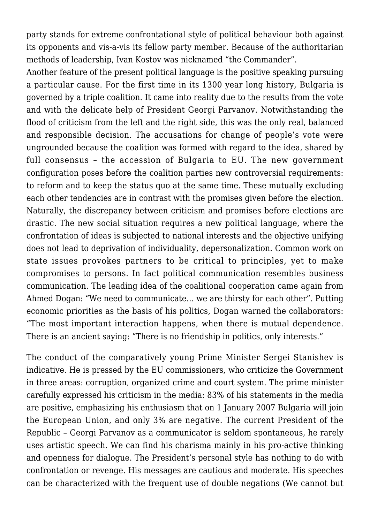party stands for extreme confrontational style of political behaviour both against its opponents and vis-a-vis its fellow party member. Because of the authoritarian methods of leadership, Ivan Kostov was nicknamed "the Commander".

Another feature of the present political language is the positive speaking pursuing a particular cause. For the first time in its 1300 year long history, Bulgaria is governed by a triple coalition. It came into reality due to the results from the vote and with the delicate help of President Georgi Parvanov. Notwithstanding the flood of criticism from the left and the right side, this was the only real, balanced and responsible decision. The accusations for change of people's vote were ungrounded because the coalition was formed with regard to the idea, shared by full consensus – the accession of Bulgaria to EU. The new government configuration poses before the coalition parties new controversial requirements: to reform and to keep the status quo at the same time. These mutually excluding each other tendencies are in contrast with the promises given before the election. Naturally, the discrepancy between criticism and promises before elections are drastic. The new social situation requires a new political language, where the confrontation of ideas is subjected to national interests and the objective unifying does not lead to deprivation of individuality, depersonalization. Common work on state issues provokes partners to be critical to principles, yet to make compromises to persons. In fact political communication resembles business communication. The leading idea of the coalitional cooperation came again from Ahmed Dogan: "We need to communicate… we are thirsty for each other". Putting economic priorities as the basis of his politics, Dogan warned the collaborators: "The most important interaction happens, when there is mutual dependence. There is an ancient saying: "There is no friendship in politics, only interests."

The conduct of the comparatively young Prime Minister Sergei Stanishev is indicative. He is pressed by the EU commissioners, who criticize the Government in three areas: corruption, organized crime and court system. The prime minister carefully expressed his criticism in the media: 83% of his statements in the media are positive, emphasizing his enthusiasm that on 1 January 2007 Bulgaria will join the European Union, and only 3% are negative. The current President of the Republic – Georgi Parvanov as a communicator is seldom spontaneous, he rarely uses artistic speech. We can find his charisma mainly in his pro-active thinking and openness for dialogue. The President's personal style has nothing to do with confrontation or revenge. His messages are cautious and moderate. His speeches can be characterized with the frequent use of double negations (We cannot but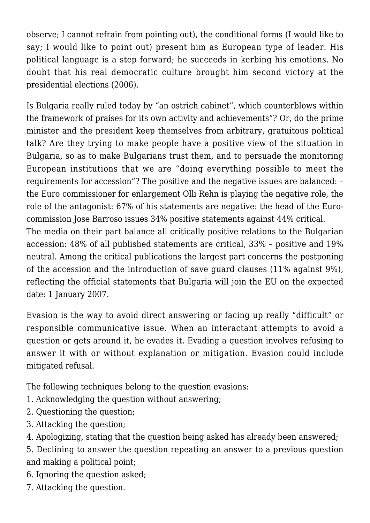observe; I cannot refrain from pointing out), the conditional forms (I would like to say; I would like to point out) present him as European type of leader. His political language is a step forward; he succeeds in kerbing his emotions. No doubt that his real democratic culture brought him second victory at the presidential elections (2006).

Is Bulgaria really ruled today by "an ostrich cabinet", which counterblows within the framework of praises for its own activity and achievements"? Or, do the prime minister and the president keep themselves from arbitrary, gratuitous political talk? Are they trying to make people have a positive view of the situation in Bulgaria, so as to make Bulgarians trust them, and to persuade the monitoring European institutions that we are "doing everything possible to meet the requirements for accession"? The positive and the negative issues are balanced: – the Euro commissioner for enlargement Olli Rehn is playing the negative role, the role of the antagonist: 67% of his statements are negative: the head of the Eurocommission Jose Barroso issues 34% positive statements against 44% critical. The media on their part balance all critically positive relations to the Bulgarian

accession: 48% of all published statements are critical, 33% – positive and 19% neutral. Among the critical publications the largest part concerns the postponing of the accession and the introduction of save guard clauses (11% against 9%), reflecting the official statements that Bulgaria will join the EU on the expected date: 1 January 2007.

Evasion is the way to avoid direct answering or facing up really "difficult" or responsible communicative issue. When an interactant attempts to avoid a question or gets around it, he evades it. Evading a question involves refusing to answer it with or without explanation or mitigation. Evasion could include mitigated refusal.

The following techniques belong to the question evasions:

- 1. Acknowledging the question without answering;
- 2. Questioning the question;
- 3. Attacking the question;
- 4. Apologizing, stating that the question being asked has already been answered;

5. Declining to answer the question repeating an answer to a previous question and making a political point;

- 6. Ignoring the question asked;
- 7. Attacking the question.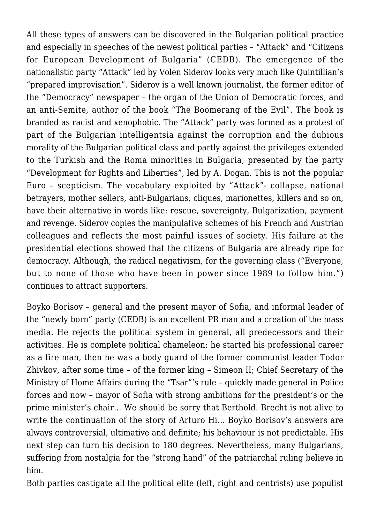All these types of answers can be discovered in the Bulgarian political practice and especially in speeches of the newest political parties – "Attack" and "Citizens for European Development of Bulgaria" (CEDB). The emergence of the nationalistic party "Attack" led by Volen Siderov looks very much like Quintillian's "prepared improvisation". Siderov is a well known journalist, the former editor of the "Democracy" newspaper – the organ of the Union of Democratic forces, and an anti-Semite, author of the book "The Boomerang of the Evil". The book is branded as racist and xenophobic. The "Attack" party was formed as a protest of part of the Bulgarian intelligentsia against the corruption and the dubious morality of the Bulgarian political class and partly against the privileges extended to the Turkish and the Roma minorities in Bulgaria, presented by the party "Development for Rights and Liberties", led by A. Dogan. This is not the popular Euro – scepticism. The vocabulary exploited by "Attack"- collapse, national betrayers, mother sellers, anti-Bulgarians, cliques, marionettes, killers and so on, have their alternative in words like: rescue, sovereignty, Bulgarization, payment and revenge. Siderov copies the manipulative schemes of his French and Austrian colleagues and reflects the most painful issues of society. His failure at the presidential elections showed that the citizens of Bulgaria are already ripe for democracy. Although, the radical negativism, for the governing class ("Everyone, but to none of those who have been in power since 1989 to follow him.") continues to attract supporters.

Boyko Borisov – general and the present mayor of Sofia, and informal leader of the "newly born" party (CEDB) is an excellent PR man and a creation of the mass media. He rejects the political system in general, all predecessors and their activities. He is complete political chameleon: he started his professional career as a fire man, then he was a body guard of the former communist leader Todor Zhivkov, after some time – of the former king – Simeon II; Chief Secretary of the Ministry of Home Affairs during the "Tsar"'s rule – quickly made general in Police forces and now – mayor of Sofia with strong ambitions for the president's or the prime minister's chair… We should be sorry that Berthold. Brecht is not alive to write the continuation of the story of Arturo Hi… Boyko Borisov's answers are always controversial, ultimative and definite; his behaviour is not predictable. His next step can turn his decision to 180 degrees. Nevertheless, many Bulgarians, suffering from nostalgia for the "strong hand" of the patriarchal ruling believe in him.

Both parties castigate all the political elite (left, right and centrists) use populist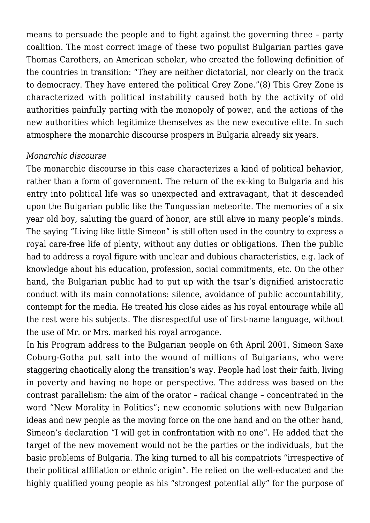means to persuade the people and to fight against the governing three – party coalition. The most correct image of these two populist Bulgarian parties gave Thomas Carothers, an American scholar, who created the following definition of the countries in transition: "They are neither dictatorial, nor clearly on the track to democracy. They have entered the political Grey Zone."(8) This Grey Zone is characterized with political instability caused both by the activity of old authorities painfully parting with the monopoly of power, and the actions of the new authorities which legitimize themselves as the new executive elite. In such atmosphere the monarchic discourse prospers in Bulgaria already six years.

## *Monarchic discourse*

The monarchic discourse in this case characterizes a kind of political behavior, rather than a form of government. The return of the ex-king to Bulgaria and his entry into political life was so unexpected and extravagant, that it descended upon the Bulgarian public like the Tungussian meteorite. The memories of a six year old boy, saluting the guard of honor, are still alive in many people's minds. The saying "Living like little Simeon" is still often used in the country to express a royal care-free life of plenty, without any duties or obligations. Then the public had to address a royal figure with unclear and dubious characteristics, e.g. lack of knowledge about his education, profession, social commitments, etc. On the other hand, the Bulgarian public had to put up with the tsar's dignified aristocratic conduct with its main connotations: silence, avoidance of public accountability, contempt for the media. He treated his close aides as his royal entourage while all the rest were his subjects. The disrespectful use of first-name language, without the use of Mr. or Mrs. marked his royal arrogance.

In his Program address to the Bulgarian people on 6th April 2001, Simeon Saxe Coburg-Gotha put salt into the wound of millions of Bulgarians, who were staggering chaotically along the transition's way. People had lost their faith, living in poverty and having no hope or perspective. The address was based on the contrast parallelism: the aim of the orator – radical change – concentrated in the word "New Morality in Politics"; new economic solutions with new Bulgarian ideas and new people as the moving force on the one hand and on the other hand, Simeon's declaration "I will get in confrontation with no one". He added that the target of the new movement would not be the parties or the individuals, but the basic problems of Bulgaria. The king turned to all his compatriots "irrespective of their political affiliation or ethnic origin". He relied on the well-educated and the highly qualified young people as his "strongest potential ally" for the purpose of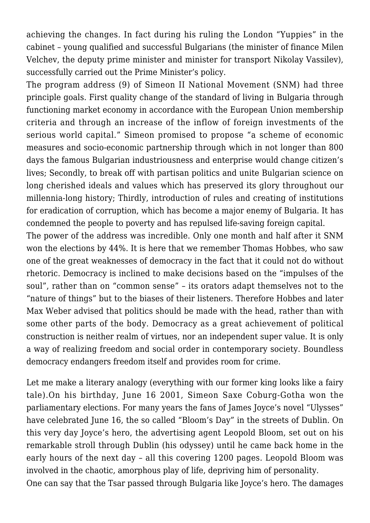achieving the changes. In fact during his ruling the London "Yuppies" in the cabinet – young qualified and successful Bulgarians (the minister of finance Milen Velchev, the deputy prime minister and minister for transport Nikolay Vassilev), successfully carried out the Prime Minister's policy.

The program address (9) of Simeon II National Movement (SNM) had three principle goals. First quality change of the standard of living in Bulgaria through functioning market economy in accordance with the European Union membership criteria and through an increase of the inflow of foreign investments of the serious world capital." Simeon promised to propose "a scheme of economic measures and socio-economic partnership through which in not longer than 800 days the famous Bulgarian industriousness and enterprise would change citizen's lives; Secondly, to break off with partisan politics and unite Bulgarian science on long cherished ideals and values which has preserved its glory throughout our millennia-long history; Thirdly, introduction of rules and creating of institutions for eradication of corruption, which has become a major enemy of Bulgaria. It has condemned the people to poverty and has repulsed life-saving foreign capital.

The power of the address was incredible. Only one month and half after it SNM won the elections by 44%. It is here that we remember Thomas Hobbes, who saw one of the great weaknesses of democracy in the fact that it could not do without rhetoric. Democracy is inclined to make decisions based on the "impulses of the soul", rather than on "common sense" – its orators adapt themselves not to the "nature of things" but to the biases of their listeners. Therefore Hobbes and later Max Weber advised that politics should be made with the head, rather than with some other parts of the body. Democracy as a great achievement of political construction is neither realm of virtues, nor an independent super value. It is only a way of realizing freedom and social order in contemporary society. Boundless democracy endangers freedom itself and provides room for crime.

Let me make a literary analogy (everything with our former king looks like a fairy tale).On his birthday, June 16 2001, Simeon Saxe Coburg-Gotha won the parliamentary elections. For many years the fans of James Joyce's novel "Ulysses" have celebrated June 16, the so called "Bloom's Day" in the streets of Dublin. On this very day Joyce's hero, the advertising agent Leopold Bloom, set out on his remarkable stroll through Dublin (his odyssey) until he came back home in the early hours of the next day – all this covering 1200 pages. Leopold Bloom was involved in the chaotic, amorphous play of life, depriving him of personality. One can say that the Tsar passed through Bulgaria like Joyce's hero. The damages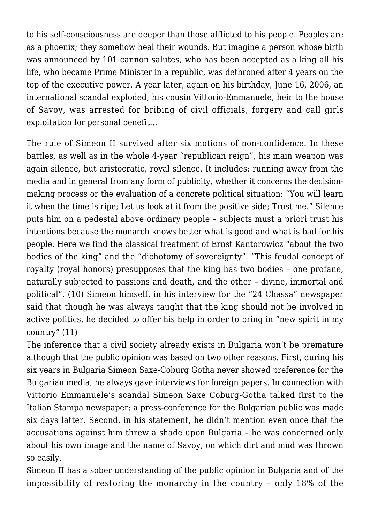to his self-consciousness are deeper than those afflicted to his people. Peoples are as a phoenix; they somehow heal their wounds. But imagine a person whose birth was announced by 101 cannon salutes, who has been accepted as a king all his life, who became Prime Minister in a republic, was dethroned after 4 years on the top of the executive power. A year later, again on his birthday, June 16, 2006, an international scandal exploded; his cousin Vittorio-Emmanuele, heir to the house of Savoy, was arrested for bribing of civil officials, forgery and call girls exploitation for personal benefit…

The rule of Simeon II survived after six motions of non-confidence. In these battles, as well as in the whole 4-year "republican reign", his main weapon was again silence, but aristocratic, royal silence. It includes: running away from the media and in general from any form of publicity, whether it concerns the decisionmaking process or the evaluation of a concrete political situation: "You will learn it when the time is ripe; Let us look at it from the positive side; Trust me." Silence puts him on a pedestal above ordinary people – subjects must a priori trust his intentions because the monarch knows better what is good and what is bad for his people. Here we find the classical treatment of Ernst Kantorowicz "about the two bodies of the king" and the "dichotomy of sovereignty". "This feudal concept of royalty (royal honors) presupposes that the king has two bodies – one profane, naturally subjected to passions and death, and the other – divine, immortal and political". (10) Simeon himself, in his interview for the "24 Chassa" newspaper said that though he was always taught that the king should not be involved in active politics, he decided to offer his help in order to bring in "new spirit in my country" (11)

The inference that a civil society already exists in Bulgaria won't be premature although that the public opinion was based on two other reasons. First, during his six years in Bulgaria Simeon Saxe-Coburg Gotha never showed preference for the Bulgarian media; he always gave interviews for foreign papers. In connection with Vittorio Emmanuele's scandal Simeon Saxe Coburg-Gotha talked first to the Italian Stampa newspaper; a press-conference for the Bulgarian public was made six days latter. Second, in his statement, he didn't mention even once that the accusations against him threw a shade upon Bulgaria – he was concerned only about his own image and the name of Savoy, on which dirt and mud was thrown so easily.

Simeon II has a sober understanding of the public opinion in Bulgaria and of the impossibility of restoring the monarchy in the country – only 18% of the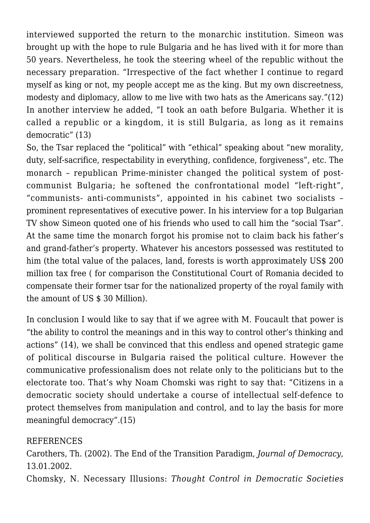interviewed supported the return to the monarchic institution. Simeon was brought up with the hope to rule Bulgaria and he has lived with it for more than 50 years. Nevertheless, he took the steering wheel of the republic without the necessary preparation. "Irrespective of the fact whether I continue to regard myself as king or not, my people accept me as the king. But my own discreetness, modesty and diplomacy, allow to me live with two hats as the Americans say."(12) In another interview he added, "I took an oath before Bulgaria. Whether it is called a republic or a kingdom, it is still Bulgaria, as long as it remains democratic" (13)

So, the Tsar replaced the "political" with "ethical" speaking about "new morality, duty, self-sacrifice, respectability in everything, confidence, forgiveness", etc. The monarch – republican Prime-minister changed the political system of postcommunist Bulgaria; he softened the confrontational model "left-right", "communists- anti-communists", appointed in his cabinet two socialists – prominent representatives of executive power. In his interview for a top Bulgarian TV show Simeon quoted one of his friends who used to call him the "social Tsar". At the same time the monarch forgot his promise not to claim back his father's and grand-father's property. Whatever his ancestors possessed was restituted to him (the total value of the palaces, land, forests is worth approximately US\$ 200 million tax free ( for comparison the Constitutional Court of Romania decided to compensate their former tsar for the nationalized property of the royal family with the amount of US \$ 30 Million).

In conclusion I would like to say that if we agree with M. Foucault that power is "the ability to control the meanings and in this way to control other's thinking and actions" (14), we shall be convinced that this endless and opened strategic game of political discourse in Bulgaria raised the political culture. However the communicative professionalism does not relate only to the politicians but to the electorate too. That's why Noam Chomski was right to say that: "Citizens in a democratic society should undertake a course of intellectual self-defence to protect themselves from manipulation and control, and to lay the basis for more meaningful democracy".(15)

REFERENCES

Carothers, Th. (2002). The End of the Transition Paradigm, *Journal of Democracy*, 13.01.2002.

Chomsky, N. Necessary Illusions: *Thought Control in Democratic Societies*